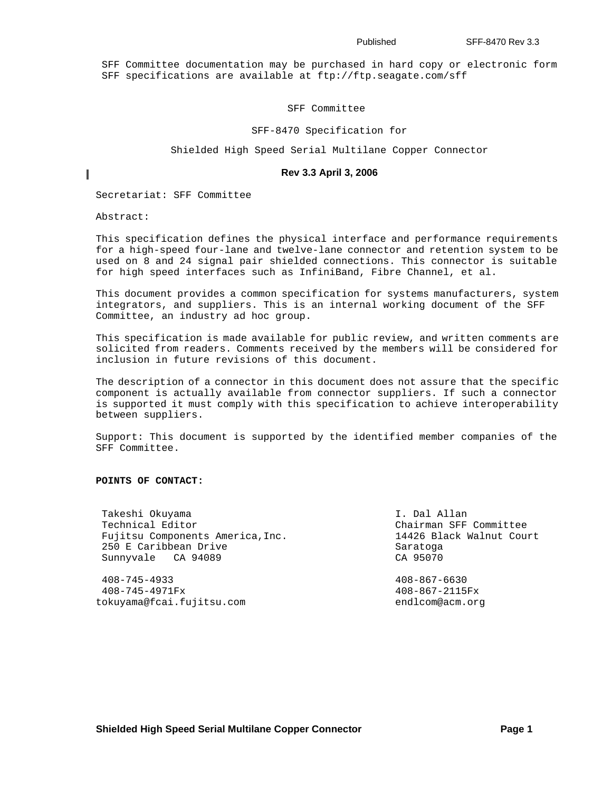SFF Committee documentation may be purchased in hard copy or electronic form SFF specifications are available at ftp://ftp.seagate.com/sff

### SFF Committee

#### SFF-8470 Specification for

Shielded High Speed Serial Multilane Copper Connector

#### **Rev 3.3 April 3, 2006**

Secretariat: SFF Committee

Abstract:

I

This specification defines the physical interface and performance requirements for a high-speed four-lane and twelve-lane connector and retention system to be used on 8 and 24 signal pair shielded connections. This connector is suitable for high speed interfaces such as InfiniBand, Fibre Channel, et al.

This document provides a common specification for systems manufacturers, system integrators, and suppliers. This is an internal working document of the SFF Committee, an industry ad hoc group.

This specification is made available for public review, and written comments are solicited from readers. Comments received by the members will be considered for inclusion in future revisions of this document.

The description of a connector in this document does not assure that the specific component is actually available from connector suppliers. If such a connector is supported it must comply with this specification to achieve interoperability between suppliers.

Support: This document is supported by the identified member companies of the SFF Committee.

#### **POINTS OF CONTACT:**

Takeshi Okuyama  $I.$  Dal Allan Technical Editor **Chairman SFF** Committee Fujitsu Components America, Inc. 4426 Black Walnut Court 250 E Caribbean Drive Saratoga Saratoga Sunnyvale CA 94089 CA 95070

 408-745-4933 408-867-6630 408-745-4971Fx 408-867-2115Fx tokuyama@fcai.fujitsu.com endlcom@acm.org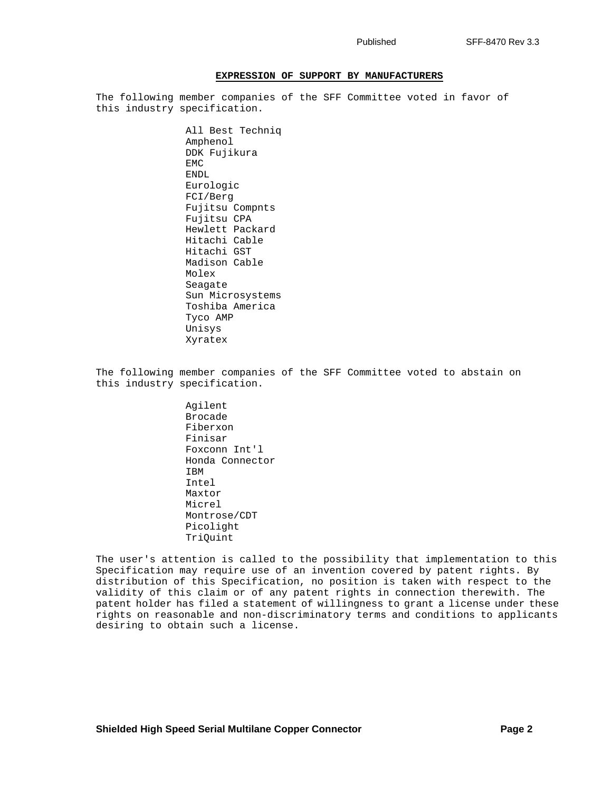#### **EXPRESSION OF SUPPORT BY MANUFACTURERS**

The following member companies of the SFF Committee voted in favor of this industry specification.

> All Best Techniq Amphenol DDK Fujikura EMC ENDL Eurologic FCI/Berg Fujitsu Compnts Fujitsu CPA Hewlett Packard Hitachi Cable Hitachi GST Madison Cable Molex Seagate Sun Microsystems Toshiba America Tyco AMP Unisys Xyratex

The following member companies of the SFF Committee voted to abstain on this industry specification.

> Agilent Brocade Fiberxon Finisar Foxconn Int'l Honda Connector IBM Intel Maxtor Micrel Montrose/CDT Picolight TriQuint

The user's attention is called to the possibility that implementation to this Specification may require use of an invention covered by patent rights. By distribution of this Specification, no position is taken with respect to the validity of this claim or of any patent rights in connection therewith. The patent holder has filed a statement of willingness to grant a license under these rights on reasonable and non-discriminatory terms and conditions to applicants desiring to obtain such a license.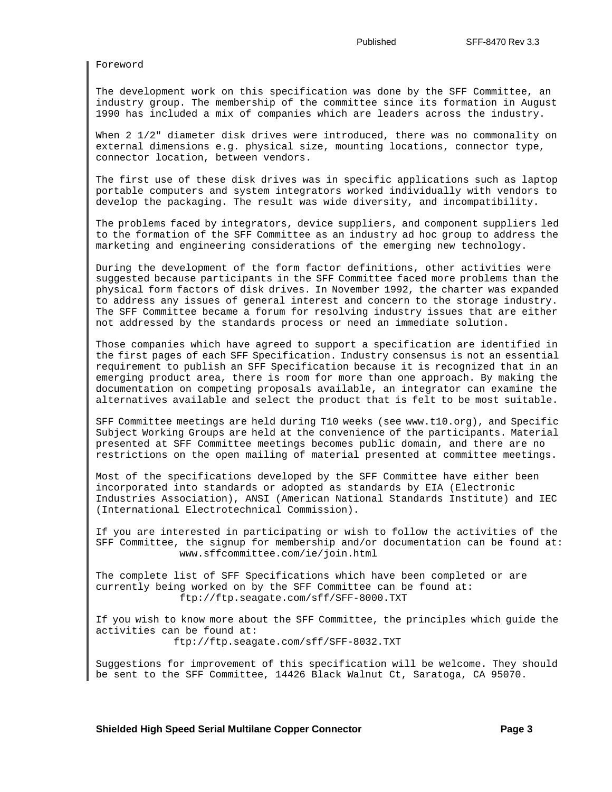Foreword

The development work on this specification was done by the SFF Committee, an industry group. The membership of the committee since its formation in August 1990 has included a mix of companies which are leaders across the industry.

When 2 1/2" diameter disk drives were introduced, there was no commonality on external dimensions e.g. physical size, mounting locations, connector type, connector location, between vendors.

The first use of these disk drives was in specific applications such as laptop portable computers and system integrators worked individually with vendors to develop the packaging. The result was wide diversity, and incompatibility.

The problems faced by integrators, device suppliers, and component suppliers led to the formation of the SFF Committee as an industry ad hoc group to address the marketing and engineering considerations of the emerging new technology.

During the development of the form factor definitions, other activities were suggested because participants in the SFF Committee faced more problems than the physical form factors of disk drives. In November 1992, the charter was expanded to address any issues of general interest and concern to the storage industry. The SFF Committee became a forum for resolving industry issues that are either not addressed by the standards process or need an immediate solution.

Those companies which have agreed to support a specification are identified in the first pages of each SFF Specification. Industry consensus is not an essential requirement to publish an SFF Specification because it is recognized that in an emerging product area, there is room for more than one approach. By making the documentation on competing proposals available, an integrator can examine the alternatives available and select the product that is felt to be most suitable.

SFF Committee meetings are held during T10 weeks (see www.t10.org), and Specific Subject Working Groups are held at the convenience of the participants. Material presented at SFF Committee meetings becomes public domain, and there are no restrictions on the open mailing of material presented at committee meetings.

Most of the specifications developed by the SFF Committee have either been incorporated into standards or adopted as standards by EIA (Electronic Industries Association), ANSI (American National Standards Institute) and IEC (International Electrotechnical Commission).

If you are interested in participating or wish to follow the activities of the SFF Committee, the signup for membership and/or documentation can be found at: www.sffcommittee.com/ie/join.html

The complete list of SFF Specifications which have been completed or are currently being worked on by the SFF Committee can be found at: ftp://ftp.seagate.com/sff/SFF-8000.TXT

If you wish to know more about the SFF Committee, the principles which guide the activities can be found at: ftp://ftp.seagate.com/sff/SFF-8032.TXT

Suggestions for improvement of this specification will be welcome. They should be sent to the SFF Committee, 14426 Black Walnut Ct, Saratoga, CA 95070.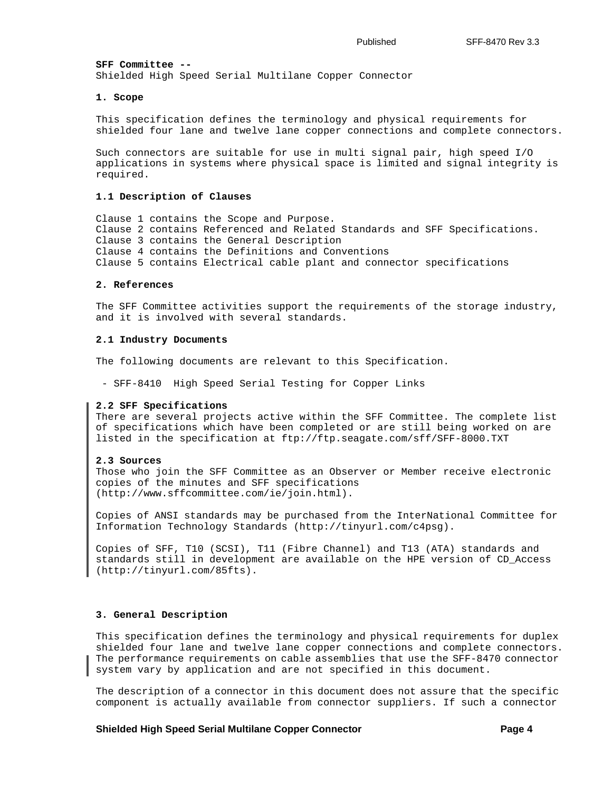**SFF Committee --** Shielded High Speed Serial Multilane Copper Connector

#### **1. Scope**

This specification defines the terminology and physical requirements for shielded four lane and twelve lane copper connections and complete connectors.

Such connectors are suitable for use in multi signal pair, high speed I/O applications in systems where physical space is limited and signal integrity is required.

### **1.1 Description of Clauses**

Clause 1 contains the Scope and Purpose. Clause 2 contains Referenced and Related Standards and SFF Specifications. Clause 3 contains the General Description Clause 4 contains the Definitions and Conventions Clause 5 contains Electrical cable plant and connector specifications

### **2. References**

The SFF Committee activities support the requirements of the storage industry, and it is involved with several standards.

#### **2.1 Industry Documents**

The following documents are relevant to this Specification.

- SFF-8410 High Speed Serial Testing for Copper Links

#### **2.2 SFF Specifications**

There are several projects active within the SFF Committee. The complete list of specifications which have been completed or are still being worked on are listed in the specification at ftp://ftp.seagate.com/sff/SFF-8000.TXT

#### **2.3 Sources**

Those who join the SFF Committee as an Observer or Member receive electronic copies of the minutes and SFF specifications (http://www.sffcommittee.com/ie/join.html).

Copies of ANSI standards may be purchased from the InterNational Committee for Information Technology Standards (http://tinyurl.com/c4psg).

Copies of SFF, T10 (SCSI), T11 (Fibre Channel) and T13 (ATA) standards and standards still in development are available on the HPE version of CD\_Access (http://tinyurl.com/85fts).

#### **3. General Description**

This specification defines the terminology and physical requirements for duplex shielded four lane and twelve lane copper connections and complete connectors. The performance requirements on cable assemblies that use the SFF-8470 connector system vary by application and are not specified in this document.

The description of a connector in this document does not assure that the specific component is actually available from connector suppliers. If such a connector

#### **Shielded High Speed Serial Multilane Copper Connector Algebra 2016 1998 1998 4**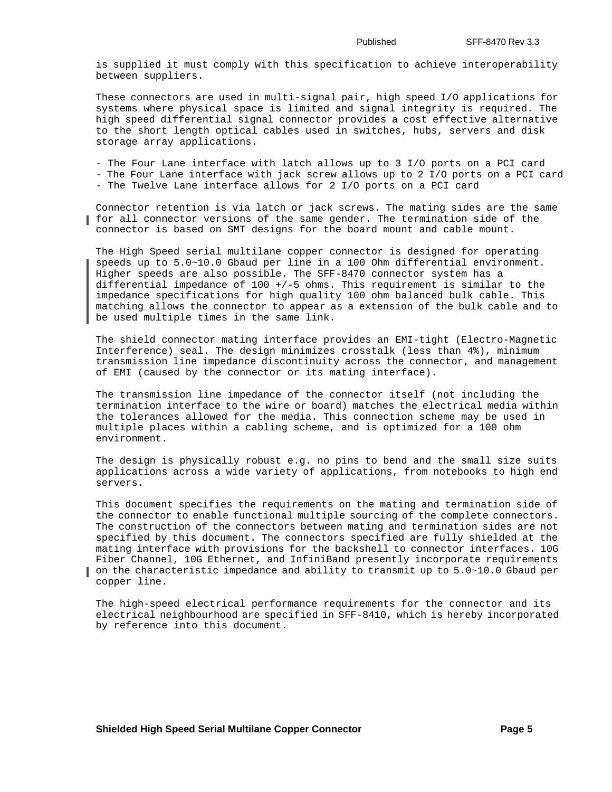is supplied it must comply with this specification to achieve interoperability between suppliers.

These connectors are used in multi-signal pair, high speed I/O applications for systems where physical space is limited and signal integrity is required. The high speed differential signal connector provides a cost effective alternative to the short length optical cables used in switches, hubs, servers and disk storage array applications.

- The Four Lane interface with latch allows up to 3 I/O ports on a PCI card
- The Four Lane interface with jack screw allows up to 2 I/O ports on a PCI card
- The Twelve Lane interface allows for 2 I/O ports on a PCI card

Connector retention is via latch or jack screws. The mating sides are the same for all connector versions of the same gender. The termination side of the connector is based on SMT designs for the board mount and cable mount.

The High Speed serial multilane copper connector is designed for operating speeds up to 5.0~10.0 Gbaud per line in a 100 Ohm differential environment. Higher speeds are also possible. The SFF-8470 connector system has a differential impedance of 100 +/-5 ohms. This requirement is similar to the impedance specifications for high quality 100 ohm balanced bulk cable. This matching allows the connector to appear as a extension of the bulk cable and to be used multiple times in the same link.

The shield connector mating interface provides an EMI-tight (Electro-Magnetic Interference) seal. The design minimizes crosstalk (less than 4%), minimum transmission line impedance discontinuity across the connector, and management of EMI (caused by the connector or its mating interface).

The transmission line impedance of the connector itself (not including the termination interface to the wire or board) matches the electrical media within the tolerances allowed for the media. This connection scheme may be used in multiple places within a cabling scheme, and is optimized for a 100 ohm environment.

The design is physically robust e.g. no pins to bend and the small size suits applications across a wide variety of applications, from notebooks to high end servers.

This document specifies the requirements on the mating and termination side of the connector to enable functional multiple sourcing of the complete connectors. The construction of the connectors between mating and termination sides are not specified by this document. The connectors specified are fully shielded at the mating interface with provisions for the backshell to connector interfaces. 10G Fiber Channel, 10G Ethernet, and InfiniBand presently incorporate requirements on the characteristic impedance and ability to transmit up to 5.0~10.0 Gbaud per copper line.

The high-speed electrical performance requirements for the connector and its electrical neighbourhood are specified in SFF-8410, which is hereby incorporated by reference into this document.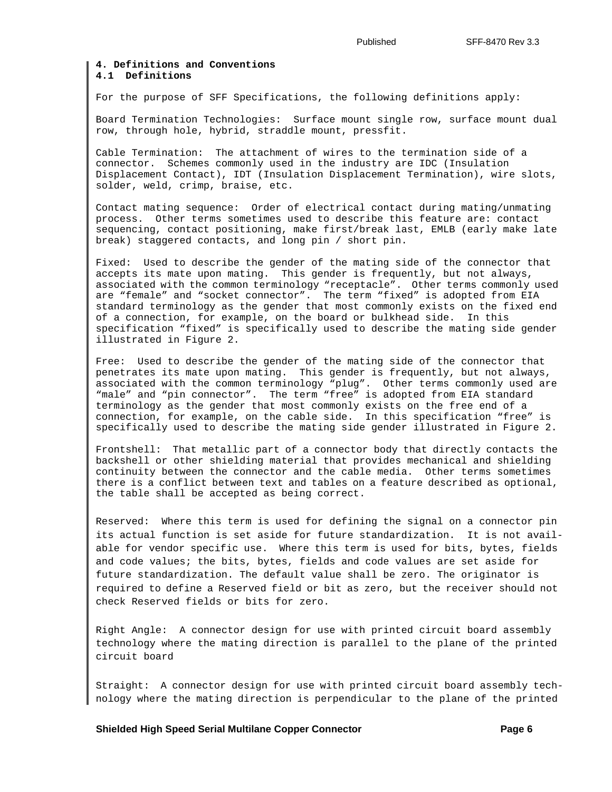### **4. Definitions and Conventions 4.1 Definitions**

For the purpose of SFF Specifications, the following definitions apply:

Board Termination Technologies: Surface mount single row, surface mount dual row, through hole, hybrid, straddle mount, pressfit.

Cable Termination: The attachment of wires to the termination side of a connector. Schemes commonly used in the industry are IDC (Insulation Displacement Contact), IDT (Insulation Displacement Termination), wire slots, solder, weld, crimp, braise, etc.

Contact mating sequence: Order of electrical contact during mating/unmating process. Other terms sometimes used to describe this feature are: contact sequencing, contact positioning, make first/break last, EMLB (early make late break) staggered contacts, and long pin / short pin.

Fixed: Used to describe the gender of the mating side of the connector that accepts its mate upon mating. This gender is frequently, but not always, associated with the common terminology "receptacle". Other terms commonly used are "female" and "socket connector". The term "fixed" is adopted from EIA standard terminology as the gender that most commonly exists on the fixed end of a connection, for example, on the board or bulkhead side. In this specification "fixed" is specifically used to describe the mating side gender illustrated in Figure 2.

Free: Used to describe the gender of the mating side of the connector that penetrates its mate upon mating. This gender is frequently, but not always, associated with the common terminology "plug". Other terms commonly used are "male" and "pin connector". The term "free" is adopted from EIA standard terminology as the gender that most commonly exists on the free end of a connection, for example, on the cable side. In this specification "free" is specifically used to describe the mating side gender illustrated in Figure 2.

Frontshell: That metallic part of a connector body that directly contacts the backshell or other shielding material that provides mechanical and shielding continuity between the connector and the cable media. Other terms sometimes there is a conflict between text and tables on a feature described as optional, the table shall be accepted as being correct.

Reserved: Where this term is used for defining the signal on a connector pin its actual function is set aside for future standardization. It is not available for vendor specific use. Where this term is used for bits, bytes, fields and code values; the bits, bytes, fields and code values are set aside for future standardization. The default value shall be zero. The originator is required to define a Reserved field or bit as zero, but the receiver should not check Reserved fields or bits for zero.

Right Angle: A connector design for use with printed circuit board assembly technology where the mating direction is parallel to the plane of the printed circuit board

Straight: A connector design for use with printed circuit board assembly technology where the mating direction is perpendicular to the plane of the printed

**Shielded High Speed Serial Multilane Copper Connector Connection Connection Connect Ave August 2 Rage 6**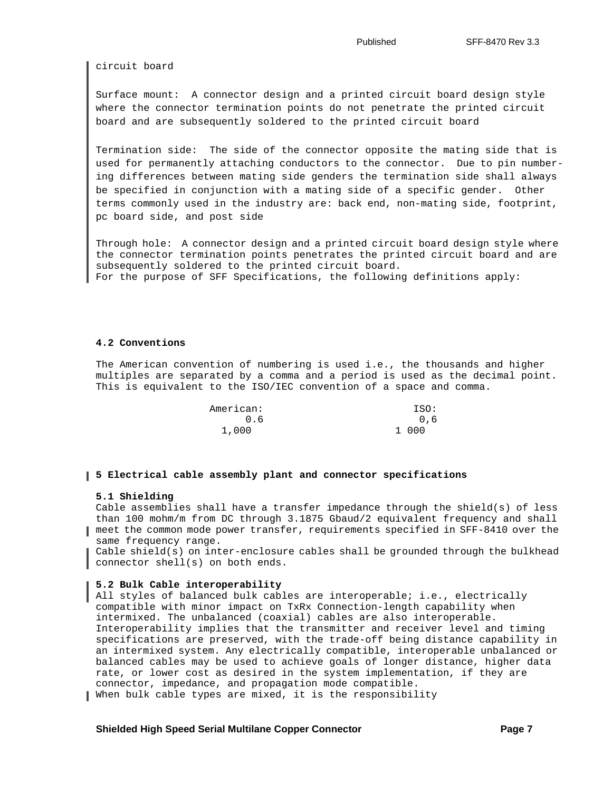circuit board

Surface mount: A connector design and a printed circuit board design style where the connector termination points do not penetrate the printed circuit board and are subsequently soldered to the printed circuit board

Termination side: The side of the connector opposite the mating side that is used for permanently attaching conductors to the connector. Due to pin numbering differences between mating side genders the termination side shall always be specified in conjunction with a mating side of a specific gender. Other terms commonly used in the industry are: back end, non-mating side, footprint, pc board side, and post side

Through hole: A connector design and a printed circuit board design style where the connector termination points penetrates the printed circuit board and are subsequently soldered to the printed circuit board. For the purpose of SFF Specifications, the following definitions apply:

#### **4.2 Conventions**

The American convention of numbering is used i.e., the thousands and higher multiples are separated by a comma and a period is used as the decimal point. This is equivalent to the ISO/IEC convention of a space and comma.

| American: | ISO:  |
|-----------|-------|
| 0.6       | 0.6   |
| 1,000     | 1 000 |

#### **5 Electrical cable assembly plant and connector specifications**

### **5.1 Shielding**

Cable assemblies shall have a transfer impedance through the shield(s) of less than 100 mohm/m from DC through 3.1875 Gbaud/2 equivalent frequency and shall meet the common mode power transfer, requirements specified in SFF-8410 over the same frequency range.

Cable shield(s) on inter-enclosure cables shall be grounded through the bulkhead connector shell(s) on both ends.

#### **5.2 Bulk Cable interoperability**

All styles of balanced bulk cables are interoperable; i.e., electrically compatible with minor impact on TxRx Connection-length capability when intermixed. The unbalanced (coaxial) cables are also interoperable. Interoperability implies that the transmitter and receiver level and timing specifications are preserved, with the trade-off being distance capability in an intermixed system. Any electrically compatible, interoperable unbalanced or balanced cables may be used to achieve goals of longer distance, higher data rate, or lower cost as desired in the system implementation, if they are connector, impedance, and propagation mode compatible.

When bulk cable types are mixed, it is the responsibility

#### **Shielded High Speed Serial Multilane Copper Connector Connection Connection Connect Ave Ave Ave Ave Ave Ave Ave**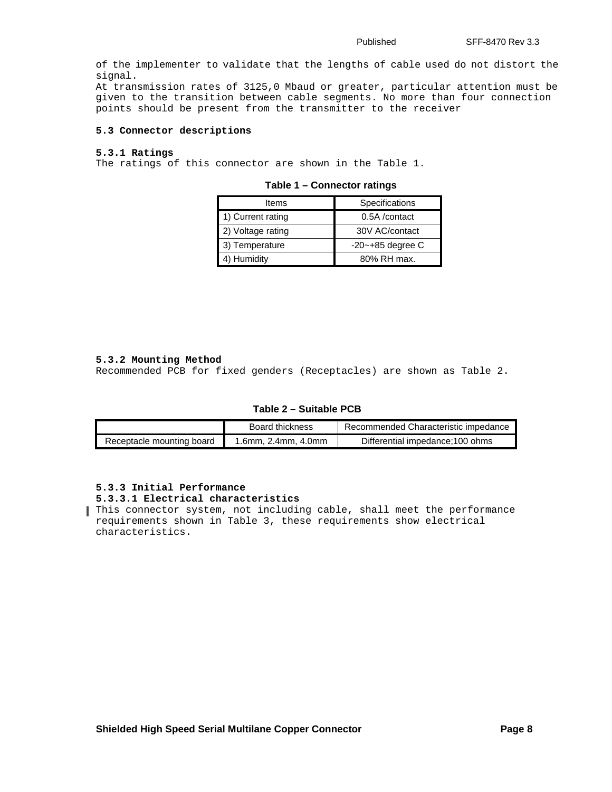of the implementer to validate that the lengths of cable used do not distort the signal.

At transmission rates of 3125,0 Mbaud or greater, particular attention must be given to the transition between cable segments. No more than four connection points should be present from the transmitter to the receiver

### **5.3 Connector descriptions**

### **5.3.1 Ratings**

<span id="page-7-1"></span>The ratings of this connector are shown in the [Table 1.](#page-7-1)

| Items             | Specifications        |
|-------------------|-----------------------|
| 1) Current rating | 0.5A /contact         |
| 2) Voltage rating | 30V AC/contact        |
| 3) Temperature    | $-20$ $-+85$ degree C |
| 4) Humidity       | 80% RH max.           |

#### **Table 1 – Connector ratings**

#### **5.3.2 Mounting Method**

Recommended PCB for fixed genders (Receptacles) are shown as [Table 2.](#page-7-0)

#### **Table 2 – Suitable PCB**

<span id="page-7-0"></span>

|                           | Board thickness     | Recommended Characteristic impedance |  |
|---------------------------|---------------------|--------------------------------------|--|
| Receptacle mounting board | 1.6mm, 2.4mm, 4.0mm | Differential impedance; 100 ohms     |  |

#### **5.3.3 Initial Performance**

#### **5.3.3.1 Electrical characteristics**

This connector system, not including cable, shall meet the performance requirements shown in [Table 3,](#page-8-0) these requirements show electrical characteristics.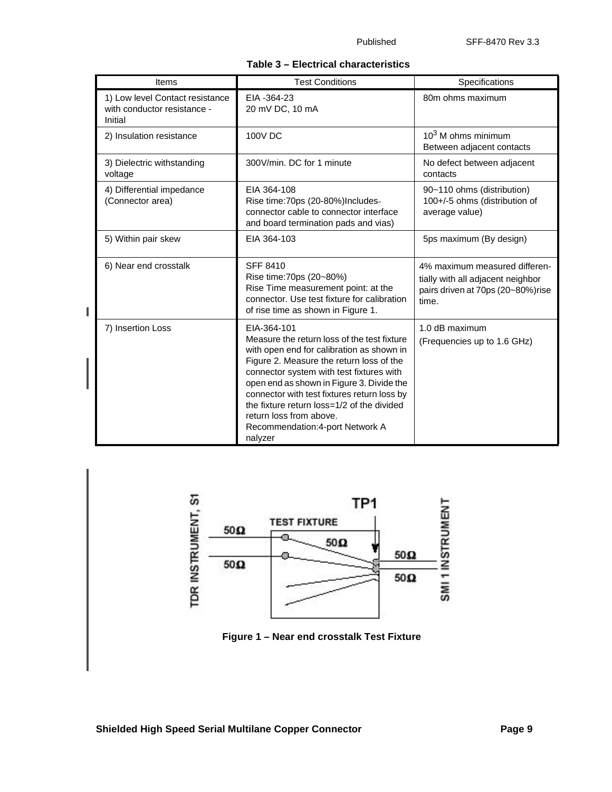|  |  | Table 3 - Electrical characteristics |
|--|--|--------------------------------------|
|--|--|--------------------------------------|

<span id="page-8-0"></span>

| Items                                                                     | <b>Test Conditions</b>                                                                                                                                                                                                                                                                                                                                                                                              | Specifications                                                                                                   |
|---------------------------------------------------------------------------|---------------------------------------------------------------------------------------------------------------------------------------------------------------------------------------------------------------------------------------------------------------------------------------------------------------------------------------------------------------------------------------------------------------------|------------------------------------------------------------------------------------------------------------------|
| 1) Low level Contact resistance<br>with conductor resistance -<br>Initial | EIA -364-23<br>20 mV DC, 10 mA                                                                                                                                                                                                                                                                                                                                                                                      | 80m ohms maximum                                                                                                 |
| 2) Insulation resistance                                                  | 100V DC                                                                                                                                                                                                                                                                                                                                                                                                             | $103$ M ohms minimum<br>Between adjacent contacts                                                                |
| 3) Dielectric withstanding<br>voltage                                     | 300V/min. DC for 1 minute                                                                                                                                                                                                                                                                                                                                                                                           | No defect between adjacent<br>contacts                                                                           |
| 4) Differential impedance<br>(Connector area)                             | EIA 364-108<br>Rise time: 70ps (20-80%) Includes-<br>connector cable to connector interface<br>and board termination pads and vias)                                                                                                                                                                                                                                                                                 | 90~110 ohms (distribution)<br>100+/-5 ohms (distribution of<br>average value)                                    |
| 5) Within pair skew                                                       | EIA 364-103                                                                                                                                                                                                                                                                                                                                                                                                         | 5ps maximum (By design)                                                                                          |
| 6) Near end crosstalk                                                     | <b>SFF 8410</b><br>Rise time: 70ps (20~80%)<br>Rise Time measurement point: at the<br>connector. Use test fixture for calibration<br>of rise time as shown in Figure 1.                                                                                                                                                                                                                                             | 4% maximum measured differen-<br>tially with all adjacent neighbor<br>pairs driven at 70ps (20~80%)rise<br>time. |
| 7) Insertion Loss                                                         | FIA-364-101<br>Measure the return loss of the test fixture<br>with open end for calibration as shown in<br>Figure 2. Measure the return loss of the<br>connector system with test fixtures with<br>open end as shown in Figure 3. Divide the<br>connector with test fixtures return loss by<br>the fixture return loss=1/2 of the divided<br>return loss from above.<br>Recommendation: 4-port Network A<br>nalyzer | 1.0 dB maximum<br>(Frequencies up to 1.6 GHz)                                                                    |



 **Figure 1 – Near end crosstalk Test Fixture**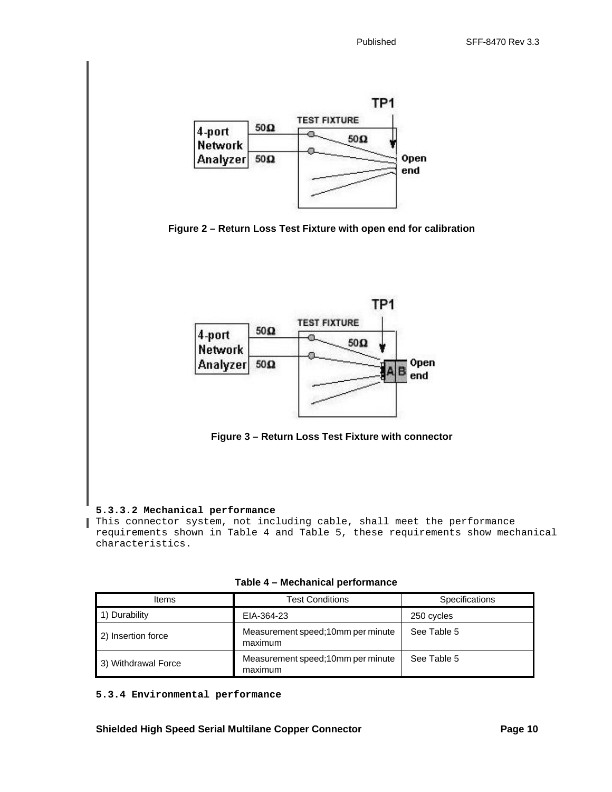





 **Figure 3 – Return Loss Test Fixture with connector** 

# **5.3.3.2 Mechanical performance**

П

This connector system, not including cable, shall meet the performance requirements shown in [Table 4](#page-9-0) and [Table 5,](#page-10-0) these requirements show mechanical characteristics.

 **Table 4 – Mechanical performance**

<span id="page-9-0"></span>

| <b>Items</b>        | <b>Test Conditions</b>                       | <b>Specifications</b> |  |
|---------------------|----------------------------------------------|-----------------------|--|
| 1) Durability       | EIA-364-23                                   | 250 cycles            |  |
| 2) Insertion force  | Measurement speed;10mm per minute<br>maximum | See Table 5           |  |
| 3) Withdrawal Force | Measurement speed:10mm per minute<br>maximum | See Table 5           |  |

**5.3.4 Environmental performance**

**Shielded High Speed Serial Multilane Copper Connector Page 10** Page 10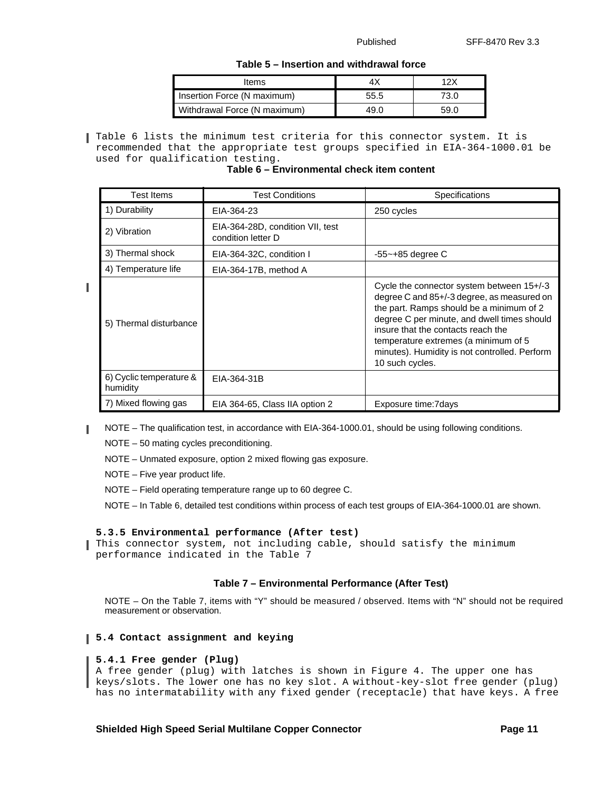### **Table 5 – Insertion and withdrawal force**

| Items                        |      | 12X  |
|------------------------------|------|------|
| Insertion Force (N maximum)  | 55.5 | 73.0 |
| Withdrawal Force (N maximum) | 49.0 | 59.0 |

<span id="page-10-0"></span>[Table 6](#page-10-1) lists the minimum test criteria for this connector system. It is recommended that the appropriate test groups specified in EIA-364-1000.01 be used for qualification testing.

 **Table 6 – Environmental check item content** 

<span id="page-10-1"></span>

| <b>Test Items</b>                   | <b>Test Conditions</b>                                 | Specifications                                                                                                                                                                                                                                                                                                                       |
|-------------------------------------|--------------------------------------------------------|--------------------------------------------------------------------------------------------------------------------------------------------------------------------------------------------------------------------------------------------------------------------------------------------------------------------------------------|
| 1) Durability                       | EIA-364-23                                             | 250 cycles                                                                                                                                                                                                                                                                                                                           |
| 2) Vibration                        | EIA-364-28D, condition VII, test<br>condition letter D |                                                                                                                                                                                                                                                                                                                                      |
| 3) Thermal shock                    | EIA-364-32C, condition I                               | $-55$ ~ $+85$ degree C                                                                                                                                                                                                                                                                                                               |
| 4) Temperature life                 | EIA-364-17B, method A                                  |                                                                                                                                                                                                                                                                                                                                      |
| 5) Thermal disturbance              |                                                        | Cycle the connector system between 15+/-3<br>degree C and 85+/-3 degree, as measured on<br>the part. Ramps should be a minimum of 2<br>degree C per minute, and dwell times should<br>insure that the contacts reach the<br>temperature extremes (a minimum of 5<br>minutes). Humidity is not controlled. Perform<br>10 such cycles. |
| 6) Cyclic temperature &<br>humidity | EIA-364-31B                                            |                                                                                                                                                                                                                                                                                                                                      |
| 7) Mixed flowing gas                | EIA 364-65, Class IIA option 2                         | Exposure time: 7 days                                                                                                                                                                                                                                                                                                                |

NOTE – The qualification test, in accordance with EIA-364-1000.01, should be using following conditions. I

NOTE – 50 mating cycles preconditioning.

NOTE – Unmated exposure, option 2 mixed flowing gas exposure.

NOTE – Five year product life.

Π

NOTE – Field operating temperature range up to 60 degree C.

NOTE – In [Table 6,](#page-10-1) detailed test conditions within process of each test groups of EIA-364-1000.01 are shown.

# **5.3.5 Environmental performance (After test)**

This connector system, not including cable, should satisfy the minimum performance indicated in the Table 7

# **Table 7 – Environmental Performance (After Test)**

NOTE – On the Table 7, items with "Y" should be measured / observed. Items with "N" should not be required measurement or observation.

# **5.4 Contact assignment and keying**

### **5.4.1 Free gender (Plug)**

A free gender (plug) with latches is shown in [Figure 4.](#page-12-0) The upper one has keys/slots. The lower one has no key slot. A without-key-slot free gender (plug) has no intermatability with any fixed gender (receptacle) that have keys. A free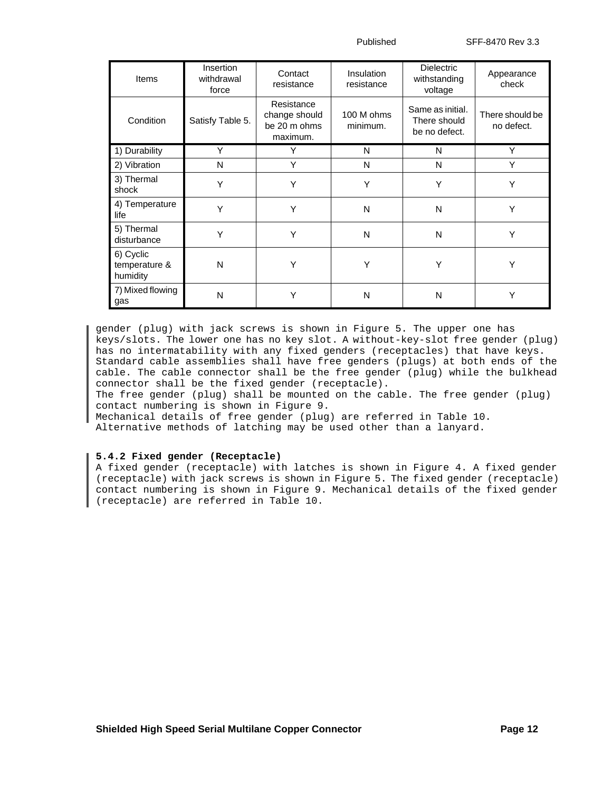Published SFF-8470 Rev 3.3

| <b>Items</b>                           | Insertion<br>withdrawal<br>force | Contact<br>resistance                                   | <b>Insulation</b><br>resistance | <b>Dielectric</b><br>withstanding<br>voltage      | Appearance<br>check           |
|----------------------------------------|----------------------------------|---------------------------------------------------------|---------------------------------|---------------------------------------------------|-------------------------------|
| Condition                              | Satisfy Table 5.                 | Resistance<br>change should<br>be 20 m ohms<br>maximum. | 100 M ohms<br>minimum.          | Same as initial.<br>There should<br>be no defect. | There should be<br>no defect. |
| 1) Durability                          | Y                                | Y                                                       | N                               | N                                                 | Υ                             |
| 2) Vibration                           | N                                | Υ                                                       | N                               | N                                                 | Υ                             |
| 3) Thermal<br>shock                    | Y                                | Υ                                                       | Y                               | Y                                                 | Y                             |
| 4) Temperature<br>life                 | Y                                | Υ                                                       | N                               | N                                                 | Y                             |
| 5) Thermal<br>disturbance              | Υ                                | Y                                                       | N                               | N                                                 | Y                             |
| 6) Cyclic<br>temperature &<br>humidity | N                                | Y                                                       | Υ                               | Υ                                                 | Υ                             |
| 7) Mixed flowing<br>gas                | N                                | Υ                                                       | N                               | N                                                 | Υ                             |

gender (plug) with jack screws is shown in [Figure 5.](#page-13-0) The upper one has keys/slots. The lower one has no key slot. A without-key-slot free gender (plug) has no intermatability with any fixed genders (receptacles) that have keys. Standard cable assemblies shall have free genders (plugs) at both ends of the cable. The cable connector shall be the free gender (plug) while the bulkhead connector shall be the fixed gender (receptacle).

The free gender (plug) shall be mounted on the cable. The free gender (plug) contact numbering is shown in Figure 9.

Mechanical details of free gender (plug) are referred in [Table 10.](#page-16-0) Alternative methods of latching may be used other than a lanyard.

### **5.4.2 Fixed gender (Receptacle)**

A fixed gender (receptacle) with latches is shown in [Figure 4.](#page-12-0) A fixed gender (receptacle) with jack screws is shown in [Figure 5](#page-13-0). The fixed gender (receptacle) contact numbering is shown in Figure 9. Mechanical details of the fixed gender (receptacle) are referred in [Table 10.](#page-16-0)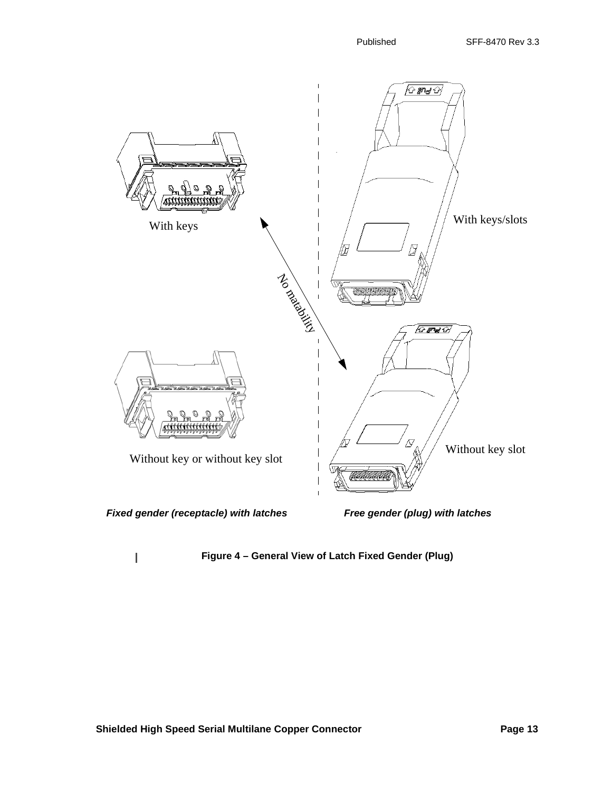

<span id="page-12-0"></span>I

 **Figure 4 – General View of Latch Fixed Gender (Plug)**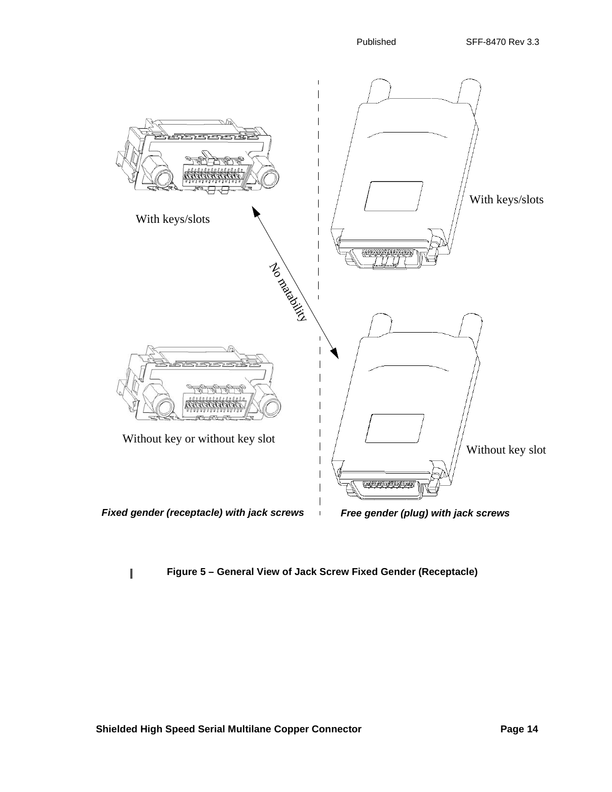

# **Figure 5 – General View of Jack Screw Fixed Gender (Receptacle)**

<span id="page-13-0"></span>I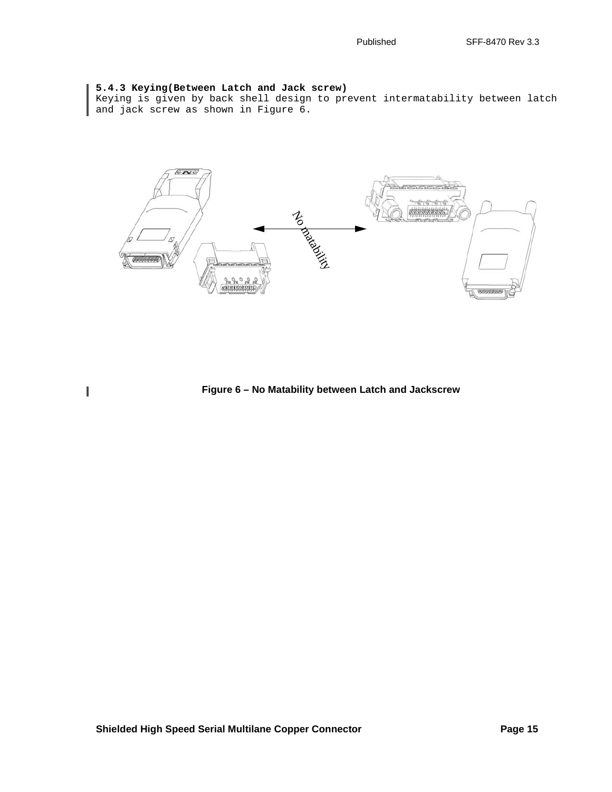### **5.4.3 Keying(Between Latch and Jack screw)**

<span id="page-14-0"></span> $\begin{array}{c} \hline \end{array}$ 

Keying is given by back shell design to prevent intermatability between latch and jack screw as shown in [Figure 6.](#page-14-0)



 **Figure 6 – No Matability between Latch and Jackscrew**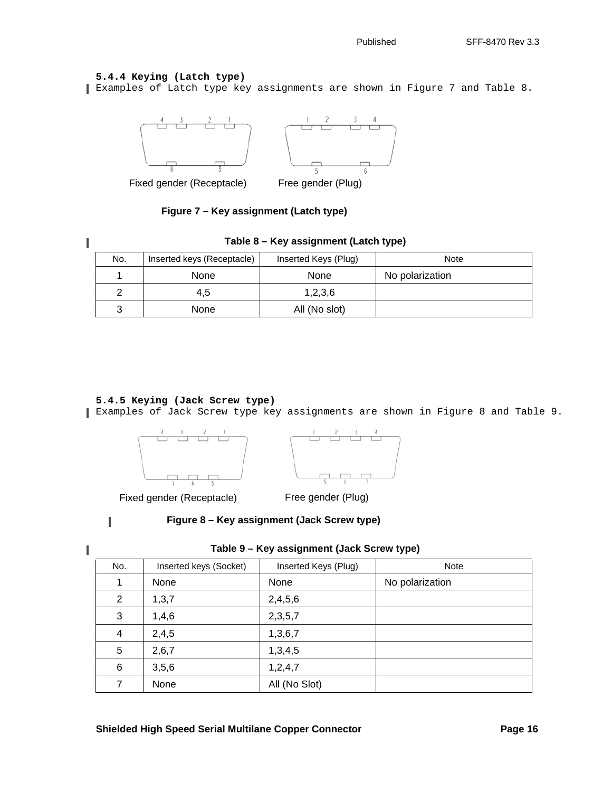# **5.4.4 Keying (Latch type)**

Examples of Latch type key assignments are shown in [Figure 7](#page-15-3) and [Table 8.](#page-15-0)



Fixed gender (Receptacle) Free gender (Plug)

 **Figure 7 – Key assignment (Latch type)**

<span id="page-15-3"></span><span id="page-15-0"></span>

| ۰ |  |
|---|--|
|   |  |
|   |  |
|   |  |
|   |  |

# **Table 8 – Key assignment (Latch type)**

| No. | Inserted keys (Receptacle) | Inserted Keys (Plug) | <b>Note</b>     |
|-----|----------------------------|----------------------|-----------------|
|     | None                       | None                 | No polarization |
|     | 4,5                        | 1,2,3,6              |                 |
|     | None                       | All (No slot)        |                 |

# **5.4.5 Keying (Jack Screw type)**

Examples of Jack Screw type key assignments are shown in [Figure 8](#page-15-2) and [Table 9.](#page-15-1)





Fixed gender (Receptacle) Free gender (Plug)

<span id="page-15-1"></span>

<span id="page-15-2"></span>I

 **Figure 8 – Key assignment (Jack Screw type)**

| No.            | Inserted keys (Socket) | Inserted Keys (Plug) | Note            |
|----------------|------------------------|----------------------|-----------------|
| 1              | None                   | None                 | No polarization |
| 2              | 1, 3, 7                | 2,4,5,6              |                 |
| 3              | 1,4,6                  | 2,3,5,7              |                 |
| $\overline{4}$ | 2,4,5                  | 1,3,6,7              |                 |
| 5              | 2,6,7                  | 1,3,4,5              |                 |
| 6              | 3,5,6                  | 1,2,4,7              |                 |
| 7              | None                   | All (No Slot)        |                 |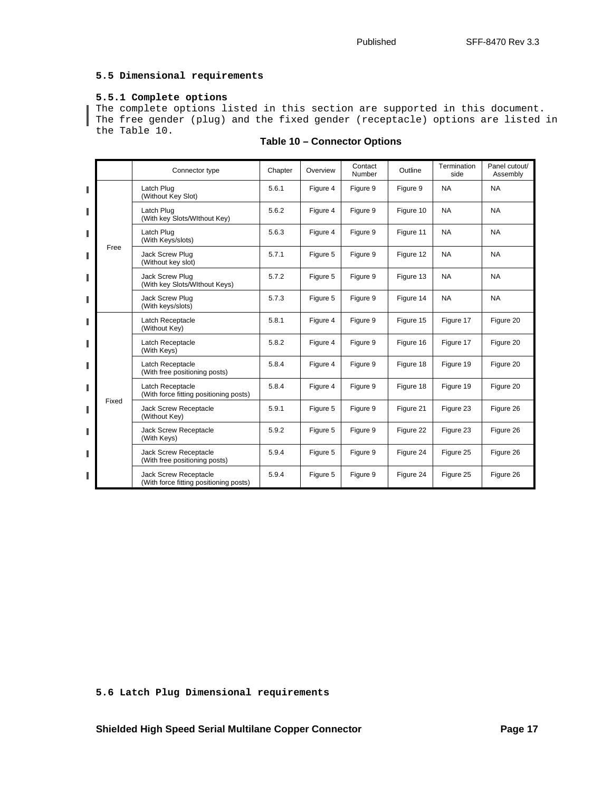### **5.5 Dimensional requirements**

### **5.5.1 Complete options**

The complete options listed in this section are supported in this document. The free gender (plug) and the fixed gender (receptacle) options are listed in the [Table 10.](#page-16-0)

<span id="page-16-0"></span>

|   |       | Connector type                                                  | Chapter | Overview | Contact<br>Number | Outline   | Termination<br>side | Panel cutout/<br>Assembly |
|---|-------|-----------------------------------------------------------------|---------|----------|-------------------|-----------|---------------------|---------------------------|
| I |       | Latch Plug<br>(Without Key Slot)                                | 5.6.1   | Figure 4 | Figure 9          | Figure 9  | <b>NA</b>           | <b>NA</b>                 |
|   |       | Latch Plug<br>(With key Slots/Wlthout Key)                      | 5.6.2   | Figure 4 | Figure 9          | Figure 10 | <b>NA</b>           | <b>NA</b>                 |
| Π |       | Latch Plug<br>(With Keys/slots)                                 | 5.6.3   | Figure 4 | Figure 9          | Figure 11 | <b>NA</b>           | <b>NA</b>                 |
| ı | Free  | Jack Screw Plug<br>(Without key slot)                           | 5.7.1   | Figure 5 | Figure 9          | Figure 12 | <b>NA</b>           | <b>NA</b>                 |
|   |       | Jack Screw Plug<br>(With key Slots/Wlthout Keys)                | 5.7.2   | Figure 5 | Figure 9          | Figure 13 | <b>NA</b>           | <b>NA</b>                 |
|   |       | Jack Screw Plug<br>(With keys/slots)                            | 5.7.3   | Figure 5 | Figure 9          | Figure 14 | <b>NA</b>           | <b>NA</b>                 |
| ı |       | Latch Receptacle<br>(Without Key)                               | 5.8.1   | Figure 4 | Figure 9          | Figure 15 | Figure 17           | Figure 20                 |
| ı |       | Latch Receptacle<br>(With Keys)                                 | 5.8.2   | Figure 4 | Figure 9          | Figure 16 | Figure 17           | Figure 20                 |
| ı |       | Latch Receptacle<br>(With free positioning posts)               | 5.8.4   | Figure 4 | Figure 9          | Figure 18 | Figure 19           | Figure 20                 |
| Π |       | Latch Receptacle<br>(With force fitting positioning posts)      | 5.8.4   | Figure 4 | Figure 9          | Figure 18 | Figure 19           | Figure 20                 |
| ı | Fixed | <b>Jack Screw Receptacle</b><br>(Without Key)                   | 5.9.1   | Figure 5 | Figure 9          | Figure 21 | Figure 23           | Figure 26                 |
| ш |       | Jack Screw Receptacle<br>(With Keys)                            | 5.9.2   | Figure 5 | Figure 9          | Figure 22 | Figure 23           | Figure 26                 |
| ш |       | Jack Screw Receptacle<br>(With free positioning posts)          | 5.9.4   | Figure 5 | Figure 9          | Figure 24 | Figure 25           | Figure 26                 |
| Π |       | Jack Screw Receptacle<br>(With force fitting positioning posts) | 5.9.4   | Figure 5 | Figure 9          | Figure 24 | Figure 25           | Figure 26                 |

# **Table 10 – Connector Options**

**5.6 Latch Plug Dimensional requirements**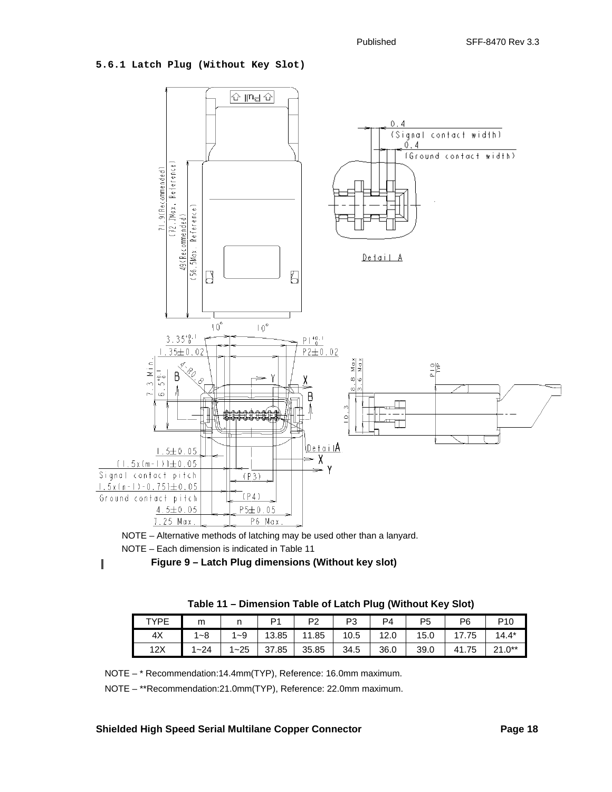### **5.6.1 Latch Plug (Without Key Slot)**



NOTE – Each dimension is indicated in [Table 11](#page-17-1) NOTE – Alternative methods of latching may be used other than a lanyard.

<span id="page-17-0"></span> $\blacksquare$ 

 **Figure 9 – Latch Plug dimensions (Without key slot)**

<span id="page-17-1"></span>

| TYPF | m       | . . | D <sub>1</sub> | D2<br>- | P3   | P4   | P <sub>5</sub> | P6         | P <sub>10</sub> |
|------|---------|-----|----------------|---------|------|------|----------------|------------|-----------------|
| 4X   | $1 - 8$ | ~9  | 13.85          | 11.85   | 10.5 | 12.0 | 15.0           | 75:′       | $14.4*$         |
| 12X  | $-24$   | ~25 | 37.85          | 35.85   | 34.5 | 36.0 | 39.0           | l.75<br>41 | $24.0**$        |

NOTE – \* Recommendation:14.4mm(TYP), Reference: 16.0mm maximum.

NOTE – \*\*Recommendation:21.0mm(TYP), Reference: 22.0mm maximum.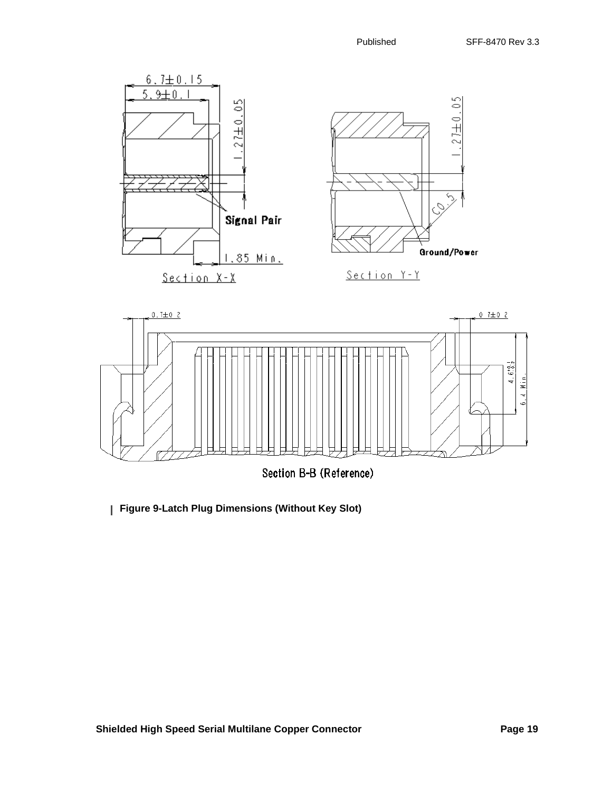

**[Figure 9-](#page-17-0)Latch Plug Dimensions (Without Key Slot)**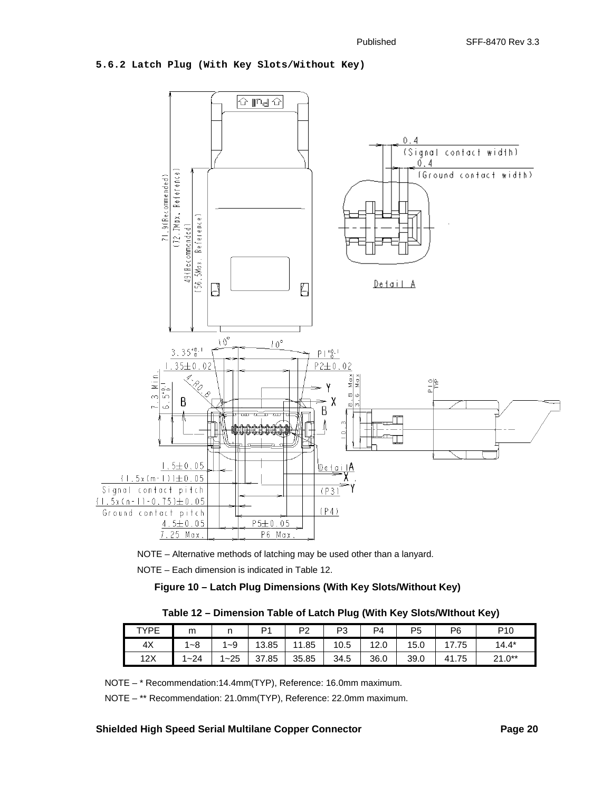### **5.6.2 Latch Plug (With Key Slots/Without Key)**





<span id="page-19-0"></span>NOTE – Each dimension is indicated in [Table 12](#page-19-1).

# **Figure 10 – Latch Plug Dimensions (With Key Slots/Without Key)**

| Table 12 - Dimension Table of Latch Plug (With Key Slots/Without Key) |  |  |  |  |  |  |  |  |  |
|-----------------------------------------------------------------------|--|--|--|--|--|--|--|--|--|
|-----------------------------------------------------------------------|--|--|--|--|--|--|--|--|--|

<span id="page-19-1"></span>

| TYPE | m                      |          | D <sub>1</sub> | P2         | P3   | PΔ   | P <sub>5</sub> | P <sub>6</sub> | P <sub>10</sub> |
|------|------------------------|----------|----------------|------------|------|------|----------------|----------------|-----------------|
| 4X   | $-8$<br>$\overline{A}$ | $1 - 9$  | 13.85          | 1.85<br>44 | 10.5 | 12.0 | 15.0           | .75<br>$4 - 7$ | $14.4*$         |
| 12X  | $1 - 24$               | $1 - 25$ | .85<br>37      | 35.85      | 34.5 | 36.0 | 39.0           | 41.75          | $21.0**$        |

NOTE – \* Recommendation:14.4mm(TYP), Reference: 16.0mm maximum.

NOTE – \*\* Recommendation: 21.0mm(TYP), Reference: 22.0mm maximum.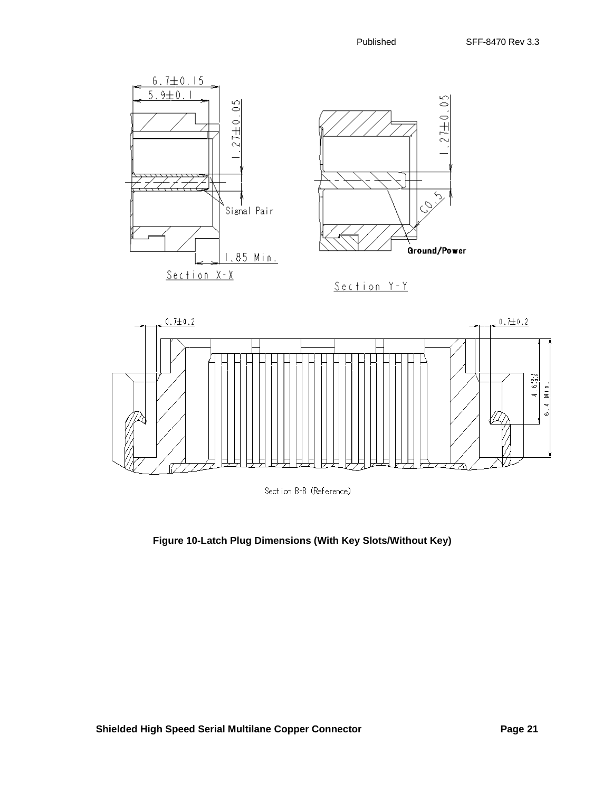

Section B-B (Reference)

**[Figure 10-](#page-19-0)Latch Plug Dimensions (With Key Slots/Without Key)**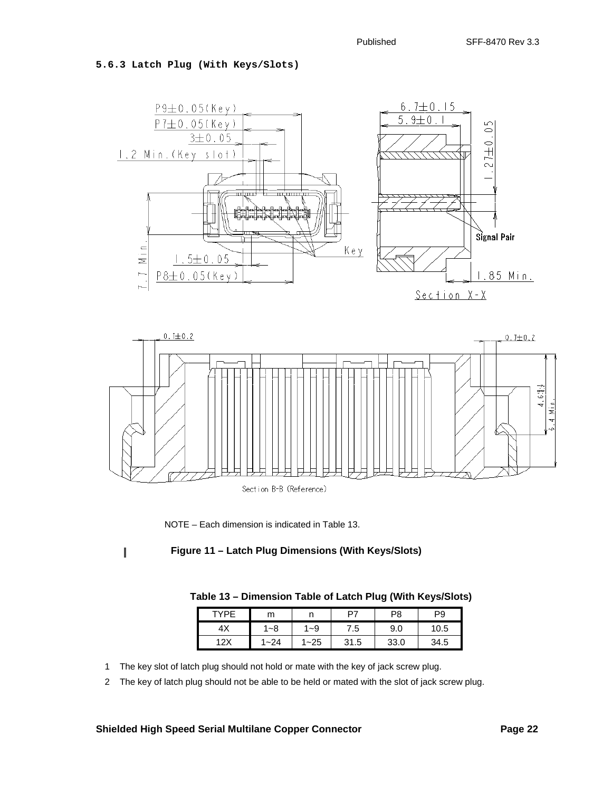**5.6.3 Latch Plug (With Keys/Slots)**



NOTE – Each dimension is indicated in [Table 13.](#page-21-1)

<span id="page-21-1"></span><span id="page-21-0"></span>ı

# **Figure 11 – Latch Plug Dimensions (With Keys/Slots)**

| VDF              | m        |      | P7   | P8   | P9   |
|------------------|----------|------|------|------|------|
| 4X               | '~8      | 1~9  | 7.5  | 9.0  | 10.5 |
| 12Y<br><i>-1</i> | $1 - 24$ | 1~25 | 31.5 | 33.0 | 34.5 |

1 The key slot of latch plug should not hold or mate with the key of jack screw plug.

2 The key of latch plug should not be able to be held or mated with the slot of jack screw plug.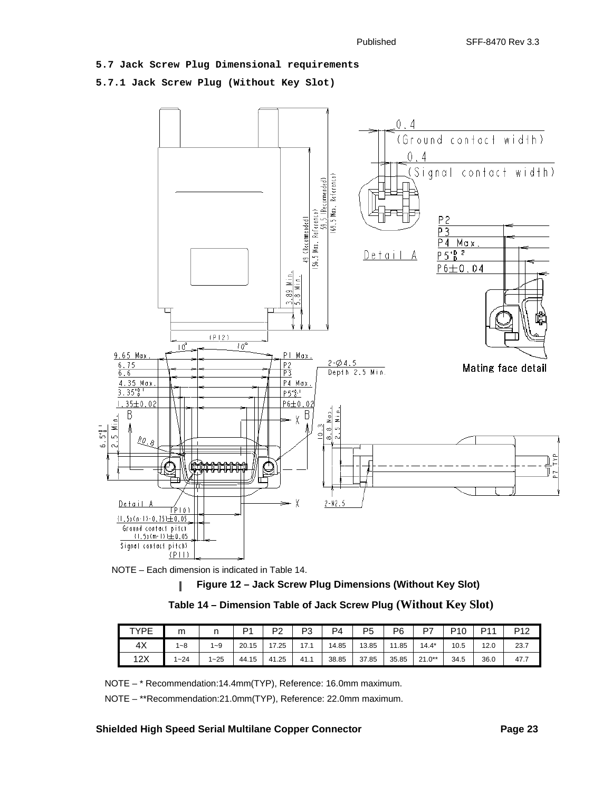**5.7 Jack Screw Plug Dimensional requirements**

**5.7.1 Jack Screw Plug (Without Key Slot)**





<span id="page-22-0"></span>

| Table 14 - Dimension Table of Jack Screw Plug (Without Key Slot) |  |  |  |
|------------------------------------------------------------------|--|--|--|
|------------------------------------------------------------------|--|--|--|

| <b>TYPE</b> | m        |         | D <sub>1</sub> | P <sub>2</sub> | D٩<br><u>ົບ</u> | P4    | P5    | P <sub>6</sub>        | D7       | P10  | D <sub>1</sub> | P <sub>12</sub> |
|-------------|----------|---------|----------------|----------------|-----------------|-------|-------|-----------------------|----------|------|----------------|-----------------|
| 4X          | $ -8$    | $1 - 9$ | 20.15          | 17.25          | 17.1            | 14.85 | 13.85 | .85<br>$\overline{A}$ | $14.4*$  | 10.5 | 12.0           | 23.7            |
| 12X         | $1 - 24$ | $-25$   | 44.15          | 41.25          | 41.1            | 38.85 | 37.85 | 35.85                 | $21.0**$ | 34.5 | 36.0           | 47.7            |

NOTE – \* Recommendation:14.4mm(TYP), Reference: 16.0mm maximum.

NOTE – \*\*Recommendation:21.0mm(TYP), Reference: 22.0mm maximum.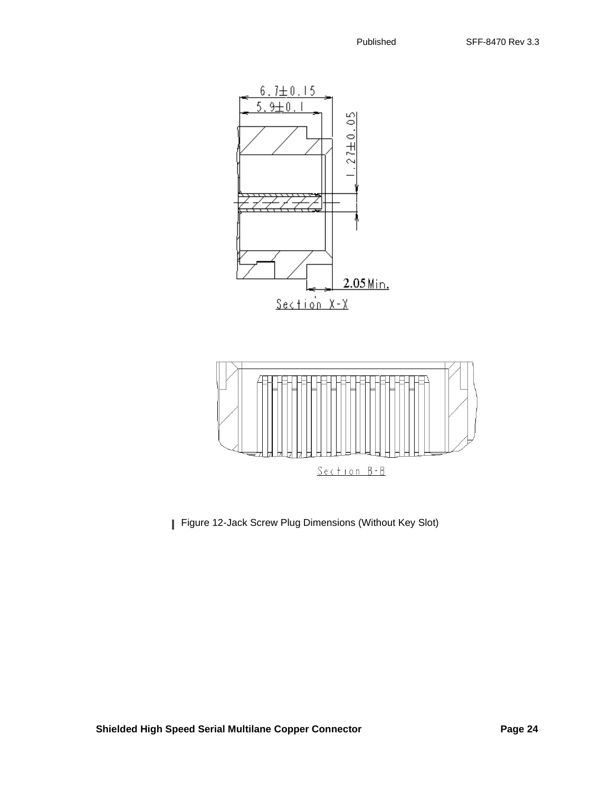



[Figure 12-](#page-22-0)Jack Screw Plug Dimensions (Without Key Slot)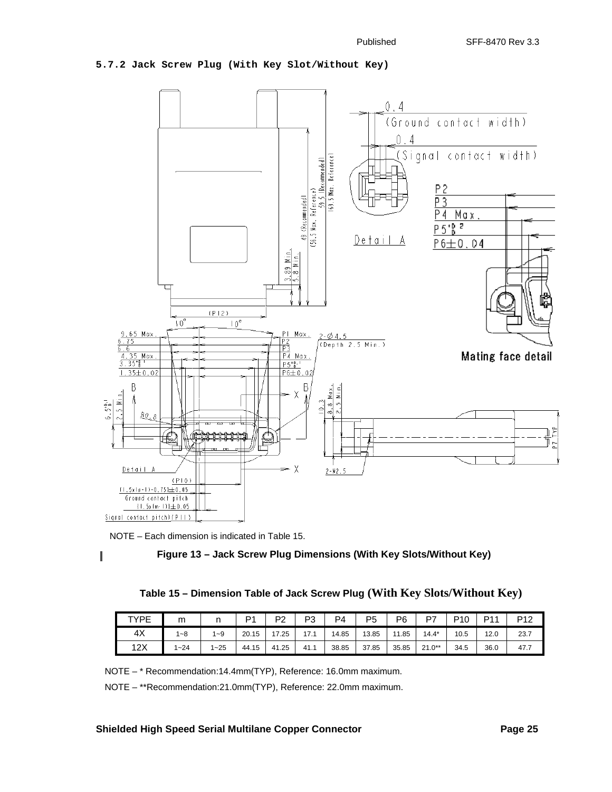### **5.7.2 Jack Screw Plug (With Key Slot/Without Key)**



NOTE – Each dimension is indicated in [Table 15](#page-24-1).

<span id="page-24-0"></span>I

 **Figure 13 – Jack Screw Plug Dimensions (With Key Slots/Without Key)**

| Table 15 - Dimension Table of Jack Screw Plug (With Key Slots/Without Key) |  |  |  |  |
|----------------------------------------------------------------------------|--|--|--|--|
|----------------------------------------------------------------------------|--|--|--|--|

<span id="page-24-1"></span>

| TYPE | m     |       | D <sub>1</sub> | D2<br>▵ | D٩<br>ັບ | P4    | P5    | P6    | D7       | P <sub>10</sub> | <b>D11</b> | P <sub>12</sub> |
|------|-------|-------|----------------|---------|----------|-------|-------|-------|----------|-----------------|------------|-----------------|
| 4X   | 1~8   | 1~9   | 20.15          | 17.25   | 17.1     | 14.85 | 13.85 | 11.85 | $14.4*$  | 10.5            | 12.0       | 23.7            |
| 12X  | $-24$ | $-25$ | 44.15          | 41.25   | 41.1     | 38.85 | 37.85 | 35.85 | $21.0**$ | 34.5            | 36.0       | 47.7            |

NOTE – \* Recommendation:14.4mm(TYP), Reference: 16.0mm maximum.

NOTE – \*\*Recommendation:21.0mm(TYP), Reference: 22.0mm maximum.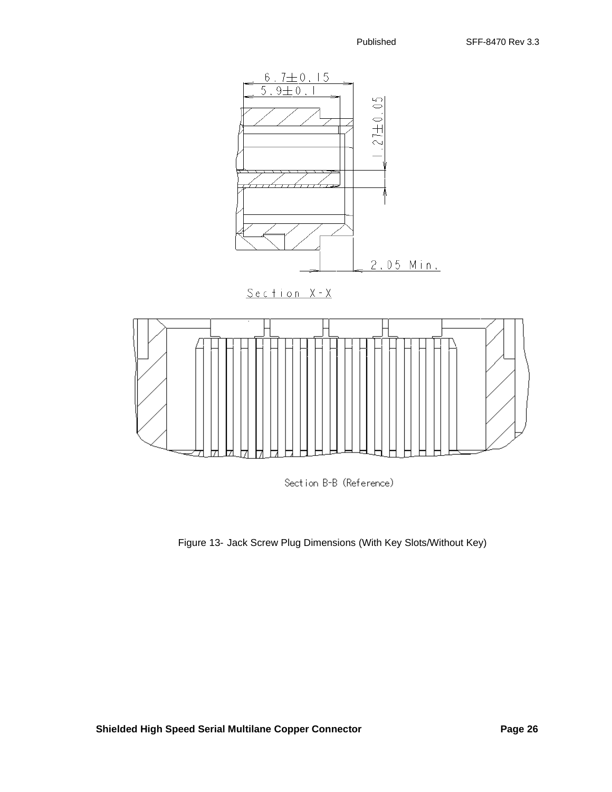



[Figure 13-](#page-24-0) Jack Screw Plug Dimensions (With Key Slots/Without Key)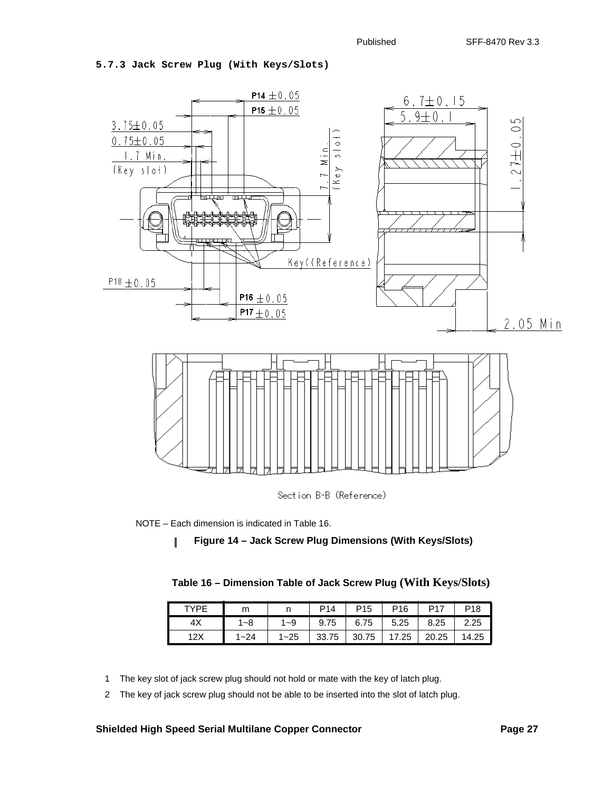### **5.7.3 Jack Screw Plug (With Keys/Slots)**



<span id="page-26-1"></span>NOTE – Each dimension is indicated in [Table 16](#page-26-1).

<span id="page-26-0"></span>

| TYPF | m        | . .      | P14   | P <sub>15</sub> | P16   | P17   | P <sub>18</sub> |
|------|----------|----------|-------|-----------------|-------|-------|-----------------|
|      | 1~8      | $1 - 9$  | 9.75  | 6.75            | 5.25  | 8.25  | 2.25            |
| 12X  | $1 - 24$ | $1 - 25$ | 33.75 | 30.75           | 17.25 | 20.25 | 14.25           |

- 1 The key slot of jack screw plug should not hold or mate with the key of latch plug.
- 2 The key of jack screw plug should not be able to be inserted into the slot of latch plug.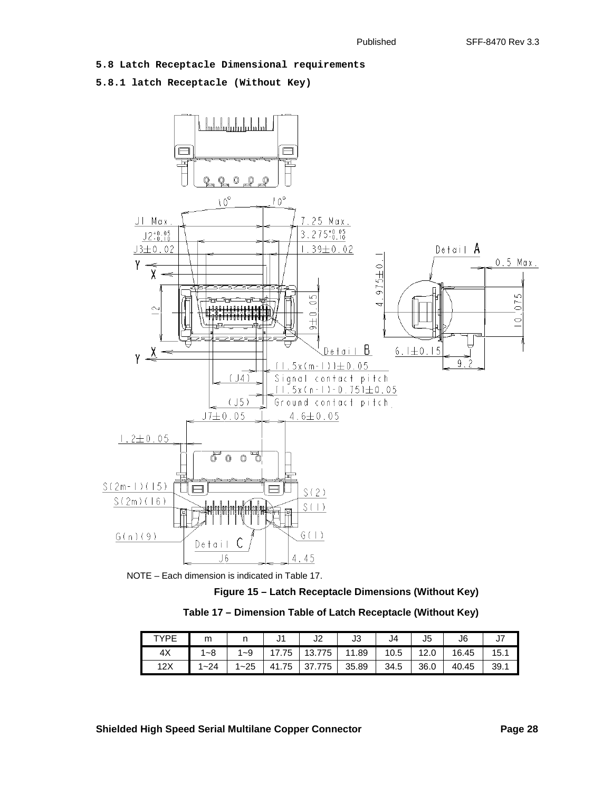# **5.8 Latch Receptacle Dimensional requirements**

# **5.8.1 latch Receptacle (Without Key)**



<span id="page-27-1"></span>

 **Figure 15 – Latch Receptacle Dimensions (Without Key)**

<span id="page-27-0"></span>

| Table 17 - Dimension Table of Latch Receptacle (Without Key) |
|--------------------------------------------------------------|
|--------------------------------------------------------------|

| TVDF | m               |       | ັັ       | JZ          | 12<br>ບບ | J4   | J <sub>5</sub> | J6    |               |
|------|-----------------|-------|----------|-------------|----------|------|----------------|-------|---------------|
| 4X   | ⊸໐              | -9    | 75       | 775<br>13.7 | 11.89    | 10.5 | Z.U            | 16.45 | 15<br>$\cdot$ |
| 12X  | $-24$<br>$\sim$ | $-25$ | 75<br>41 | 775         | 35.89    | 34.5 | 36.0           | 40.45 | 39.7          |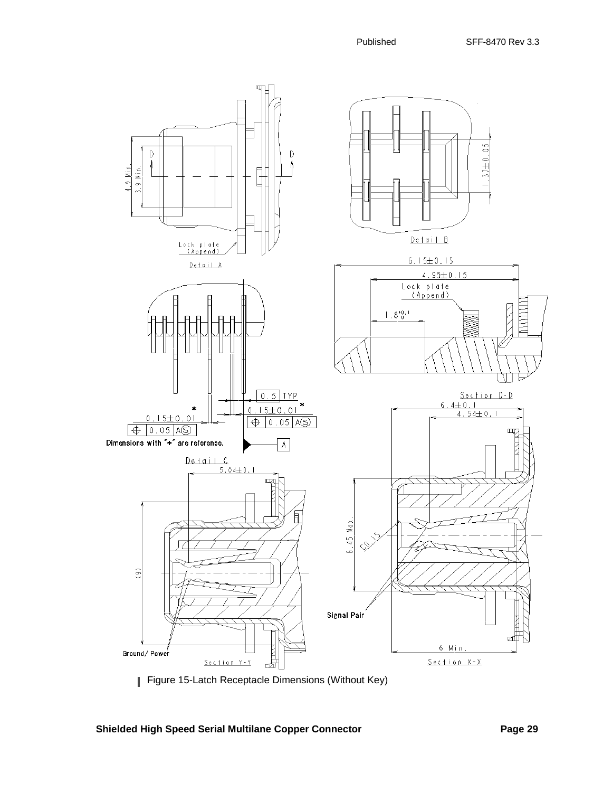

[Figure 15](#page-27-0)-Latch Receptacle Dimensions (Without Key)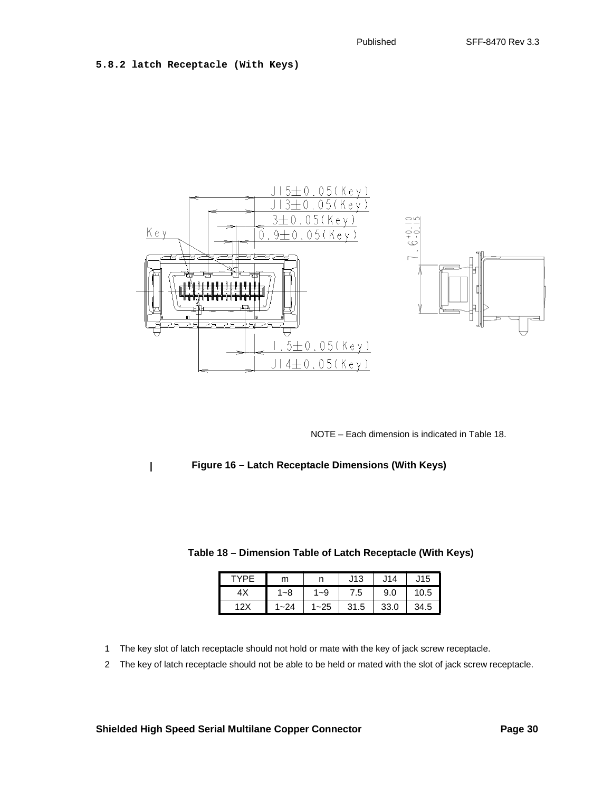**5.8.2 latch Receptacle (With Keys)**

 $\blacksquare$ 



NOTE – Each dimension is indicated in [Table 18](#page-29-1).

<span id="page-29-0"></span> **Figure 16 – Latch Receptacle Dimensions (With Keys)**

|      |          |          | J13  | J14  | J15  |
|------|----------|----------|------|------|------|
|      | 1~8      | $1 - 9$  | 7.5  | 9.0  | 10.5 |
| 12 X | $1 - 24$ | $1 - 25$ | 31.5 | 33.0 | 34.5 |

<span id="page-29-1"></span> **Table 18 – Dimension Table of Latch Receptacle (With Keys)**

- 1 The key slot of latch receptacle should not hold or mate with the key of jack screw receptacle.
- 2 The key of latch receptacle should not be able to be held or mated with the slot of jack screw receptacle.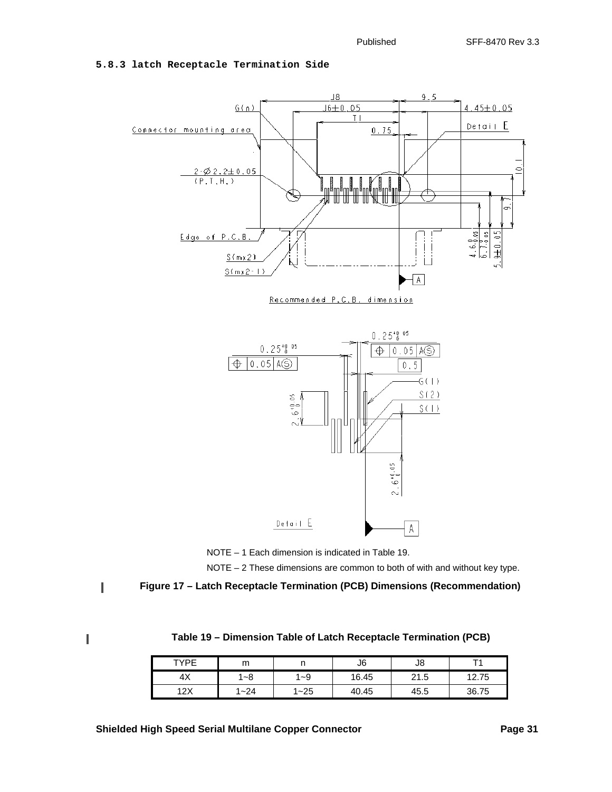# **5.8.3 latch Receptacle Termination Side** 18





NOTE – 2 These dimensions are common to both of with and without key type.

<span id="page-30-0"></span>Ī

 **Figure 17 – Latch Receptacle Termination (PCB) Dimensions (Recommendation)**

<span id="page-30-1"></span>I

 **Table 19 – Dimension Table of Latch Receptacle Termination (PCB)**

| TYPF | m                      |     | J6    | J8   |       |
|------|------------------------|-----|-------|------|-------|
| 4λ   | ~8                     | ∣~9 | 16.45 | 21.5 | 12.75 |
| 12Y  | -24 <br>$\overline{A}$ | ~25 | 40.45 | 45.5 | 36.75 |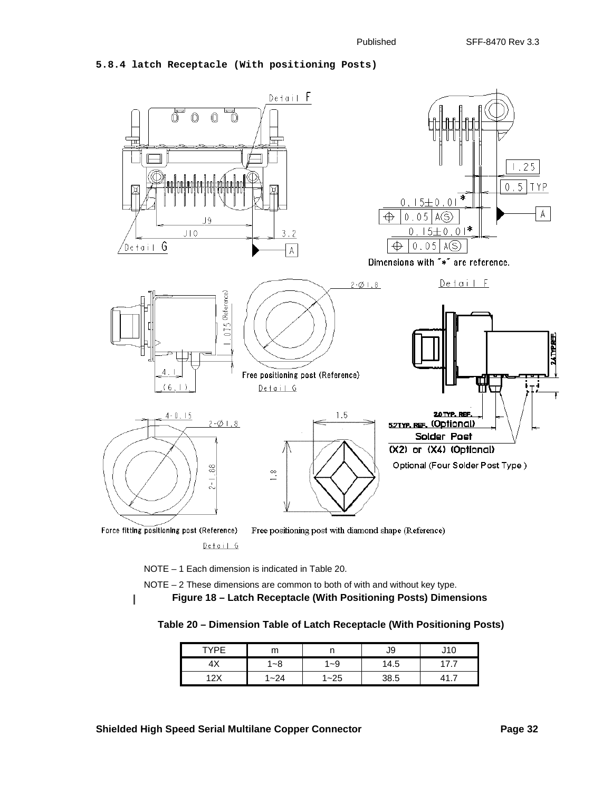# **5.8.4 latch Receptacle (With positioning Posts)**



Free positioning post with diamond shape (Reference)

Detail G

NOTE – 1 Each dimension is indicated in [Table 20.](#page-31-1) NOTE – 2 These dimensions are common to both of with and without key type.

<span id="page-31-1"></span><span id="page-31-0"></span>I

 **Figure 18 – Latch Receptacle (With Positioning Posts) Dimensions**

# **Table 20 – Dimension Table of Latch Receptacle (With Positioning Posts)**

| TVDE              | .        |           | J9   | ັ   |
|-------------------|----------|-----------|------|-----|
| 4X                | ~8       | -9        | 14.5 | . . |
| 12X<br>$\epsilon$ | $1 - 24$ | 1~25<br>и | 38.5 | . . |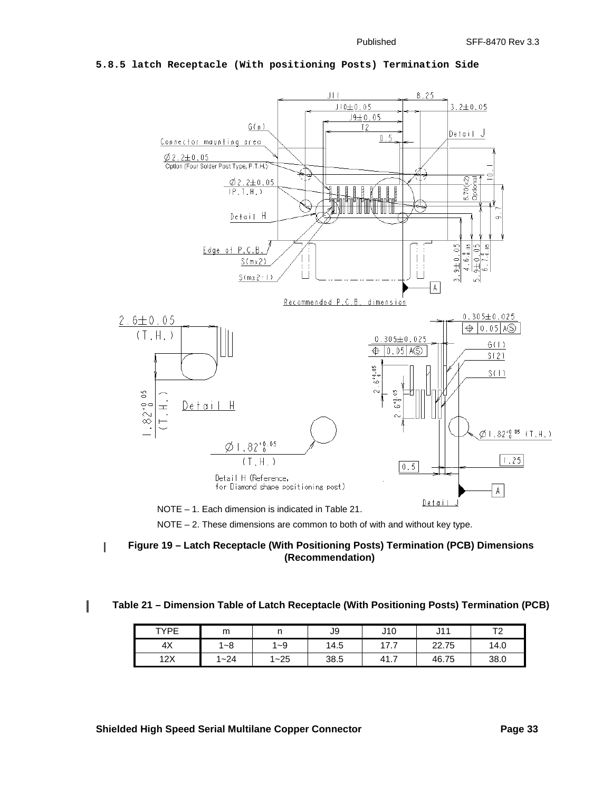

#### **5.8.5 latch Receptacle (With positioning Posts) Termination Side**

NOTE – 2. These dimensions are common to both of with and without key type.

<span id="page-32-0"></span>

### <span id="page-32-1"></span> **Table 21 – Dimension Table of Latch Receptacle (With Positioning Posts) Termination (PCB)**

| <b>TYPE</b> | m          | . .                        | J9   | J10     | 144<br>ا ا ب | $T^{\circ}$<br>$\epsilon$ |
|-------------|------------|----------------------------|------|---------|--------------|---------------------------|
| 4X          | $-8$<br>л  | $-9$<br>л.                 | 14.5 | 17<br>. | 22.75        | 14.0                      |
| 12X         | 1~24<br>A. | $1 - 25$<br>$\overline{A}$ | 38.5 | 41.7    | 46.75        | 38.0                      |

I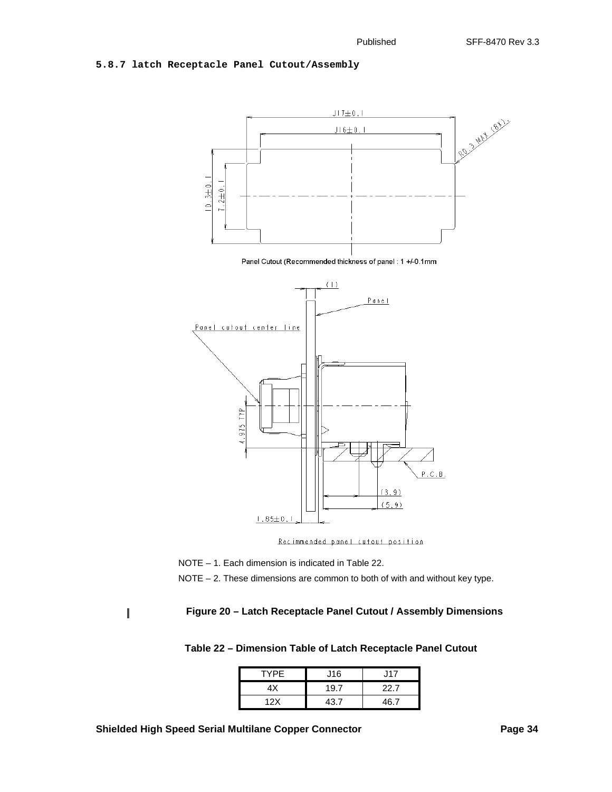# **5.8.7 latch Receptacle Panel Cutout/Assembly**



Recimmended panel cutout position

NOTE – 1. Each dimension is indicated in [Table 22.](#page-33-1)

NOTE – 2. These dimensions are common to both of with and without key type.

<span id="page-33-1"></span><span id="page-33-0"></span>ľ

# **Figure 20 – Latch Receptacle Panel Cutout / Assembly Dimensions**

 **Table 22 – Dimension Table of Latch Receptacle Panel Cutout**

| <b>TYPE</b> | J16  | J17  |
|-------------|------|------|
| 4Χ          | 19.7 | 22.7 |
| 12X         | 43 7 | 46 7 |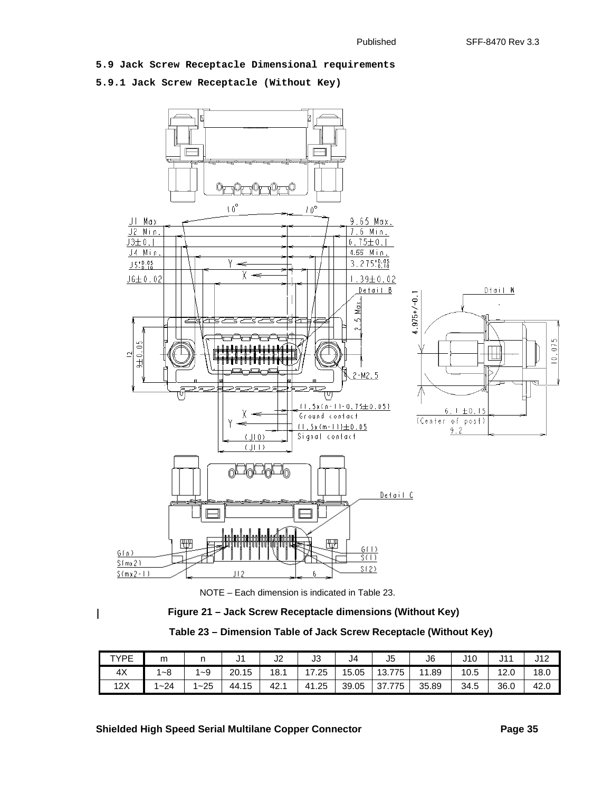### **5.9 Jack Screw Receptacle Dimensional requirements**

# **5.9.1 Jack Screw Receptacle (Without Key)**





<span id="page-34-1"></span><span id="page-34-0"></span> $\overline{\phantom{a}}$ 

 **Figure 21 – Jack Screw Receptacle dimensions (Without Key)**

| Table 23 - Dimension Table of Jack Screw Receptacle (Without Key) |  |  |  |  |  |
|-------------------------------------------------------------------|--|--|--|--|--|
|-------------------------------------------------------------------|--|--|--|--|--|

| TYPE | m        | . .      | ັ          | $\sim$<br>JZ | J3    | J4    | J5           | J6        | J10  | J1'  | 140<br>14 |
|------|----------|----------|------------|--------------|-------|-------|--------------|-----------|------|------|-----------|
| 4X   | ~8       | 1~9      | 20.<br>.15 | 18.1         | 17.25 | 15.05 | 13.7<br>.775 | .89<br>11 | 10.5 | 12.0 | 18.0      |
| 12X  | $1 - 24$ | $1 - 25$ | 15<br>44.  | 42.          | 41.25 | 39.05 | 37<br>775    | 35.89     | 34.5 | 36.0 | 42.0      |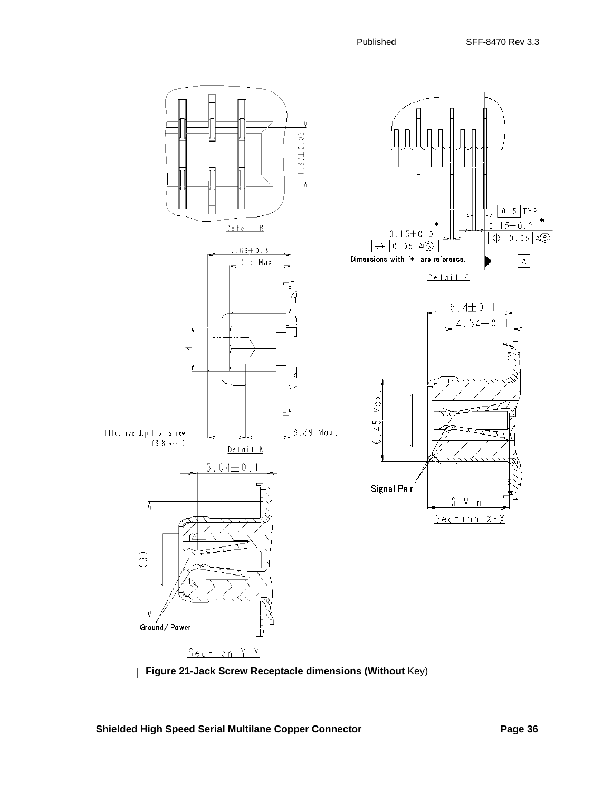



Shielded High Speed Serial Multilane Copper Connector **Page 36** Page 36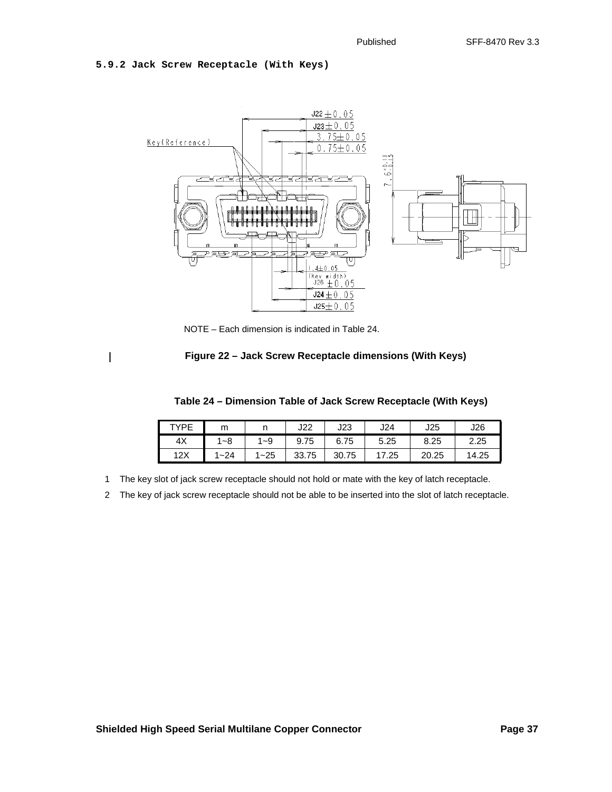### **5.9.2 Jack Screw Receptacle (With Keys)**

<span id="page-36-1"></span><span id="page-36-0"></span> $\mathbf{I}$ 



NOTE – Each dimension is indicated in [Table 24.](#page-36-1)

# **Figure 22 – Jack Screw Receptacle dimensions (With Keys)**

| Table 24 - Dimension Table of Jack Screw Receptacle (With Keys) |  |  |  |  |
|-----------------------------------------------------------------|--|--|--|--|
|-----------------------------------------------------------------|--|--|--|--|

| TYPE | m       |          | J22   | J23   | J24   | J25   | J26   |
|------|---------|----------|-------|-------|-------|-------|-------|
| 4X   | 1~8     | 1~9      | 9.75  | 6.75  | 5.25  | 8.25  | 2.25  |
| 12X  | $  -24$ | $1 - 25$ | 33.75 | 30.75 | 17.25 | 20.25 | 14.25 |

1 The key slot of jack screw receptacle should not hold or mate with the key of latch receptacle.

2 The key of jack screw receptacle should not be able to be inserted into the slot of latch receptacle.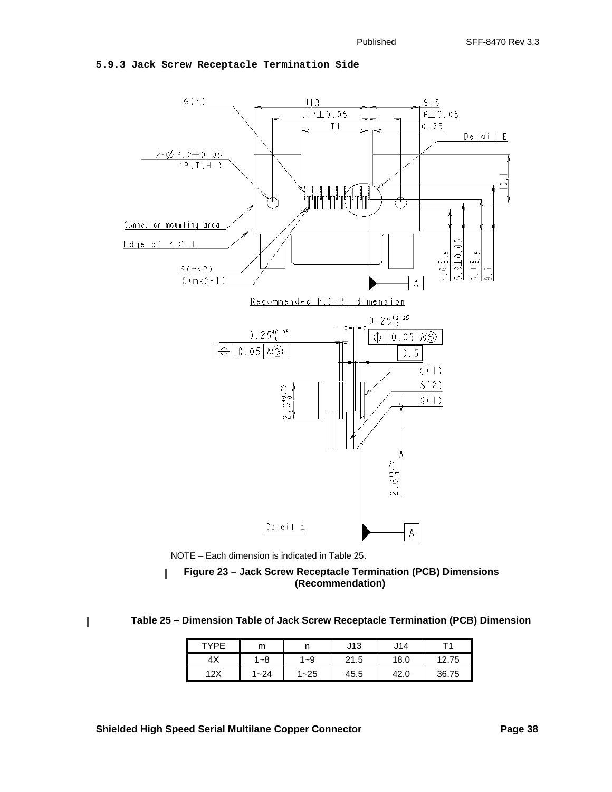

# **5.9.3 Jack Screw Receptacle Termination Side**



<span id="page-37-0"></span> **Figure 23 – Jack Screw Receptacle Termination (PCB) Dimensions**  J **(Recommendation)**

 **Table 25 – Dimension Table of Jack Screw Receptacle Termination (PCB) Dimension**

| TYPE       | m        |          | J13  | J14          |       |
|------------|----------|----------|------|--------------|-------|
| $4\lambda$ | $1 - 8$  | -9       | 21.5 | 18.0         | 12.75 |
| 12X        | $1 - 24$ | $1 - 25$ | 45.5 | 42 C<br>74.U | 36.75 |

<span id="page-37-1"></span>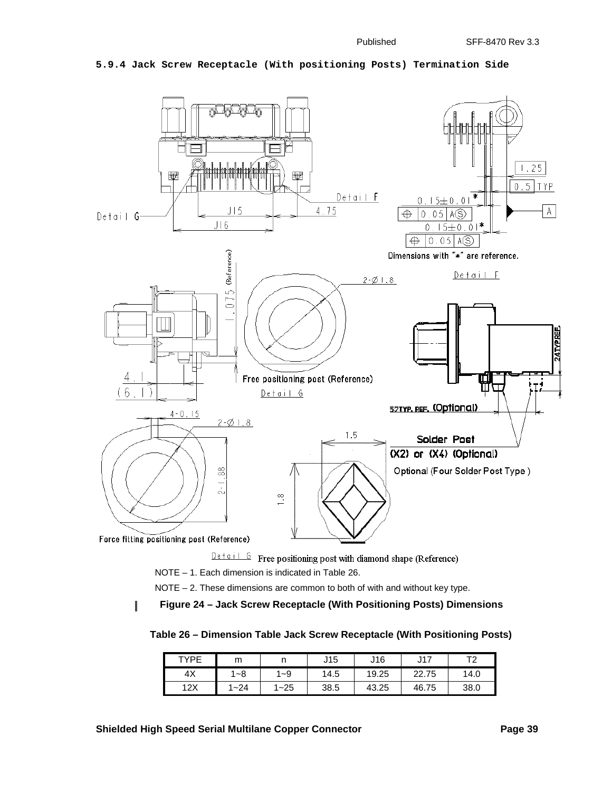### **5.9.4 Jack Screw Receptacle (With positioning Posts) Termination Side**



 $\frac{Det\alpha i + G}{G}$  Free positioning post with diamond shape (Reference)

NOTE – 1. Each dimension is indicated in [Table 26](#page-38-1).

NOTE – 2. These dimensions are common to both of with and without key type.

<span id="page-38-1"></span><span id="page-38-0"></span> **Figure 24 – Jack Screw Receptacle (With Positioning Posts) Dimensions** I

 **Table 26 – Dimension Table Jack Screw Receptacle (With Positioning Posts)**

| TYPF | m        |          | J15  | J16   | J17   | ᠇    |
|------|----------|----------|------|-------|-------|------|
| 4X   | ∣~8      | 1~9      | 14.5 | 19.25 | 22.75 | 14.0 |
| 12X  | $1 - 24$ | $1 - 25$ | 38.5 | 43.25 | 46.75 | 38.0 |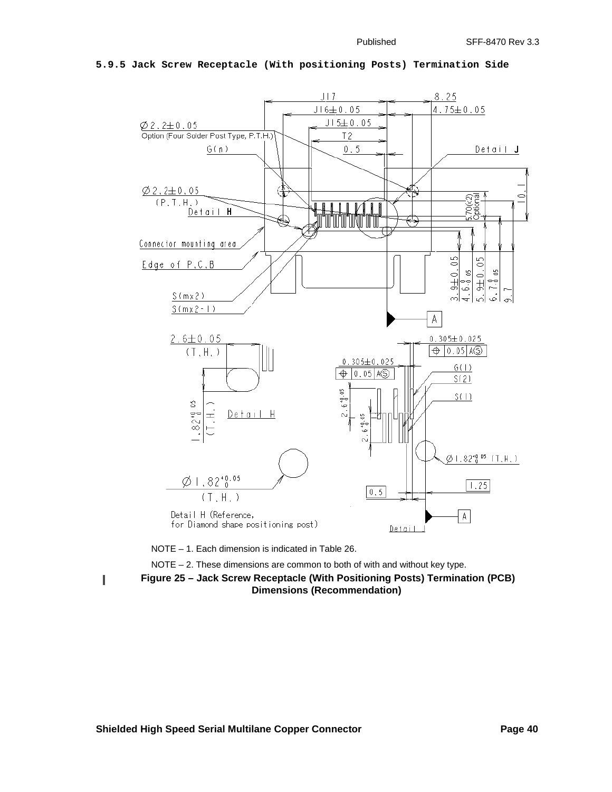

### **5.9.5 Jack Screw Receptacle (With positioning Posts) Termination Side**

NOTE – 1. Each dimension is indicated in [Table 26.](#page-38-1)

NOTE  $-2$ . These dimensions are common to both of with and without key type.

<span id="page-39-0"></span>T

 **Figure 25 – Jack Screw Receptacle (With Positioning Posts) Termination (PCB) Dimensions (Recommendation)**